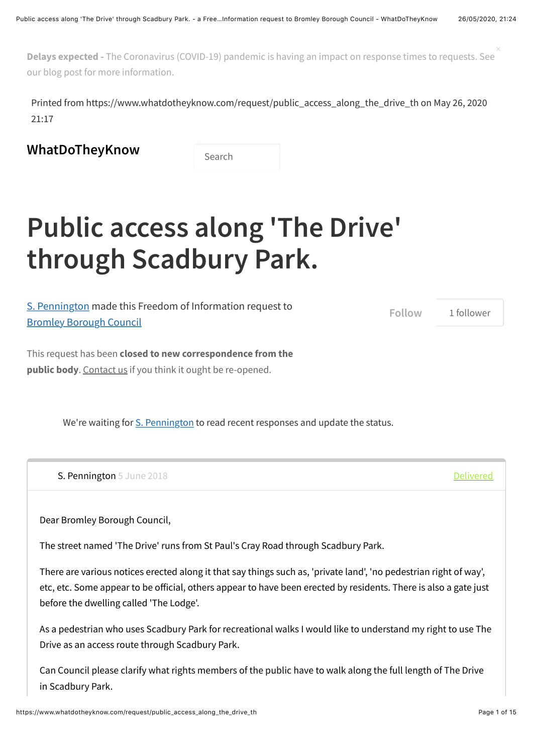**Delays expected -** [The Coronavirus \(COVID-19\) pandemic is having an impact on response times to requests. See](https://www.mysociety.org/2020/04/02/freedom-of-information-during-the-pandemic/) our blog post for more information. ×

Printed from https://www.whatdotheyknow.com/request/public\_access\_along\_the\_drive\_th on May 26, 2020 21:17

**[WhatDoTheyKnow](https://www.whatdotheyknow.com/)** Search

## **Public access along 'The Drive' through Scadbury Park.**

| S. Pennington made this Freedom of Information request to | Follow | 1 follower |
|-----------------------------------------------------------|--------|------------|
| <b>Bromley Borough Council</b>                            |        |            |
|                                                           |        |            |

This request has been **closed to new correspondence from the public body**. [Contact us](https://www.whatdotheyknow.com/help/contact) if you think it ought be re-opened.

We're waiting for [S. Pennington](https://www.whatdotheyknow.com/user/s_pennington) to read recent responses and update the status.

<span id="page-0-0"></span>S. Pennington [5 June 2018](#page-0-0) **[Delivered](https://www.whatdotheyknow.com/outgoing_messages/773713/delivery_status) Contract Contract Contract Contract Contract Contract Contract Contract Contract Contract Contract Contract Contract Contract Contract Contract Contract Contract Contract Contract Con** 

Dear Bromley Borough Council,

The street named 'The Drive' runs from St Paul's Cray Road through Scadbury Park.

There are various notices erected along it that say things such as, 'private land', 'no pedestrian right of way', etc, etc. Some appear to be official, others appear to have been erected by residents. There is also a gate just before the dwelling called 'The Lodge'.

As a pedestrian who uses Scadbury Park for recreational walks I would like to understand my right to use The Drive as an access route through Scadbury Park.

Can Council please clarify what rights members of the public have to walk along the full length of The Drive in Scadbury Park.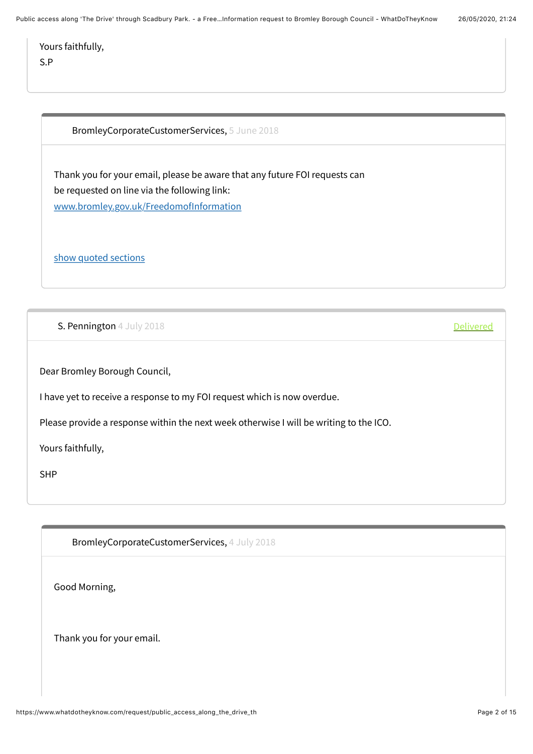Public access along 'The Drive' through Scadbury Park. - a Free...Information request to Bromley Borough Council - WhatDoTheyKnow 26/05/2020, 21:24

Yours faithfully, S.P

<span id="page-1-0"></span>BromleyCorporateCustomerServices, [5 June 2018](#page-1-0)

Thank you for your email, please be aware that any future FOI requests can be requested on line via the following link: [www.bromley.gov.uk/FreedomofInformation](http://www.bromley.gov.uk/FreedomofInformation)

[show quoted sections](https://www.whatdotheyknow.com/request/public_access_along_the_drive_th?unfold=1#incoming-1168347)

<span id="page-1-1"></span>S. Pennington [4 July 2018](#page-1-1) **[Delivered](https://www.whatdotheyknow.com/outgoing_messages/783464/delivery_status)** 

Dear Bromley Borough Council,

I have yet to receive a response to my FOI request which is now overdue.

Please provide a response within the next week otherwise I will be writing to the ICO.

Yours faithfully,

SHP

<span id="page-1-2"></span>BromleyCorporateCustomerServices, [4 July 2018](#page-1-2)

Good Morning,

Thank you for your email.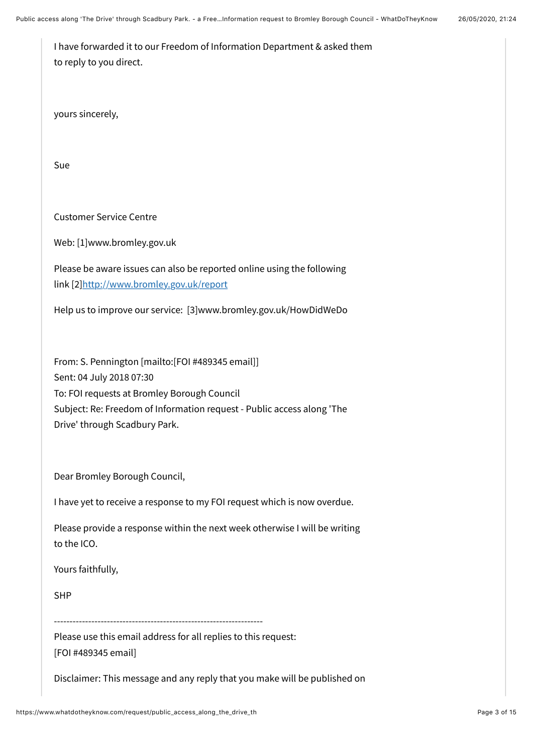| I have forwarded it to our Freedom of Information Department & asked them |
|---------------------------------------------------------------------------|
| to reply to you direct.                                                   |

yours sincerely,

Sue

Customer Service Centre

Web: [1]www.bromley.gov.uk

Please be aware issues can also be reported online using the following link [2[\]http://www.bromley.gov.uk/report](http://www.bromley.gov.uk/report)

Help us to improve our service: [3]www.bromley.gov.uk/HowDidWeDo

From: S. Pennington [mailto:[FOI #489345 email]] Sent: 04 July 2018 07:30 To: FOI requests at Bromley Borough Council Subject: Re: Freedom of Information request - Public access along 'The Drive' through Scadbury Park.

Dear Bromley Borough Council,

I have yet to receive a response to my FOI request which is now overdue.

Please provide a response within the next week otherwise I will be writing to the ICO.

Yours faithfully,

SHP

-------------------------------------------------------------------

Please use this email address for all replies to this request: [FOI #489345 email]

Disclaimer: This message and any reply that you make will be published on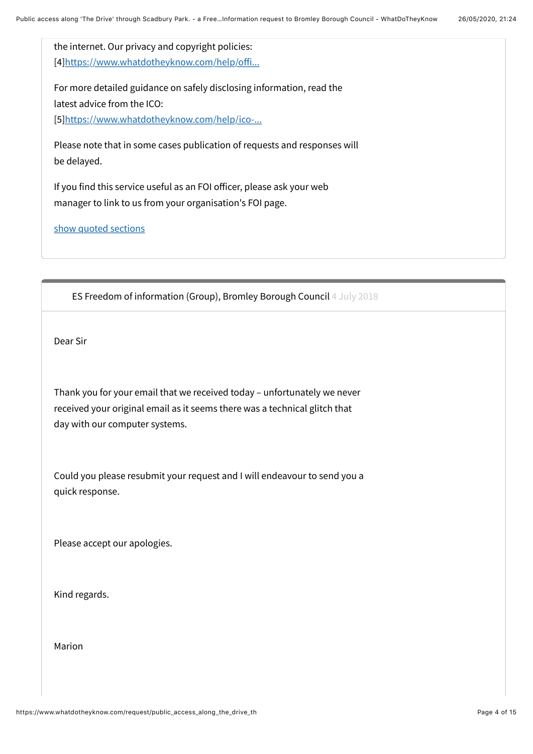the internet. Our privacy and copyright policies: [4][https://www.whatdotheyknow.com/help/o](https://www.whatdotheyknow.com/help/officers)ffi...

For more detailed guidance on safely disclosing information, read the latest advice from the ICO: [5][https://www.whatdotheyknow.com/help/ico-...](https://www.whatdotheyknow.com/help/ico-guidance-for-authorities)

Please note that in some cases publication of requests and responses will be delayed.

If you find this service useful as an FOI officer, please ask your web manager to link to us from your organisation's FOI page.

[show quoted sections](https://www.whatdotheyknow.com/request/public_access_along_the_drive_th?unfold=1#incoming-1183286)

<span id="page-3-0"></span>ES Freedom of information (Group), Bromley Borough Council [4 July 2018](#page-3-0)

Dear Sir

Thank you for your email that we received today – unfortunately we never received your original email as it seems there was a technical glitch that day with our computer systems.

Could you please resubmit your request and I will endeavour to send you a quick response.

Please accept our apologies.

Kind regards.

Marion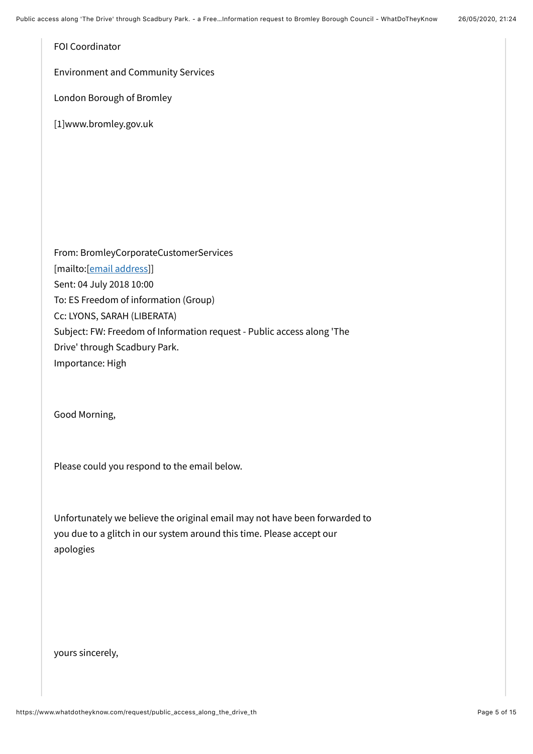FOI Coordinator

Environment and Community Services

London Borough of Bromley

[1]www.bromley.gov.uk

From: BromleyCorporateCustomerServices [mailto:[\[email address](https://www.whatdotheyknow.com/help/officers#mobiles)]] Sent: 04 July 2018 10:00 To: ES Freedom of information (Group) Cc: LYONS, SARAH (LIBERATA) Subject: FW: Freedom of Information request - Public access along 'The Drive' through Scadbury Park. Importance: High

Good Morning,

Please could you respond to the email below.

Unfortunately we believe the original email may not have been forwarded to you due to a glitch in our system around this time. Please accept our apologies

yours sincerely,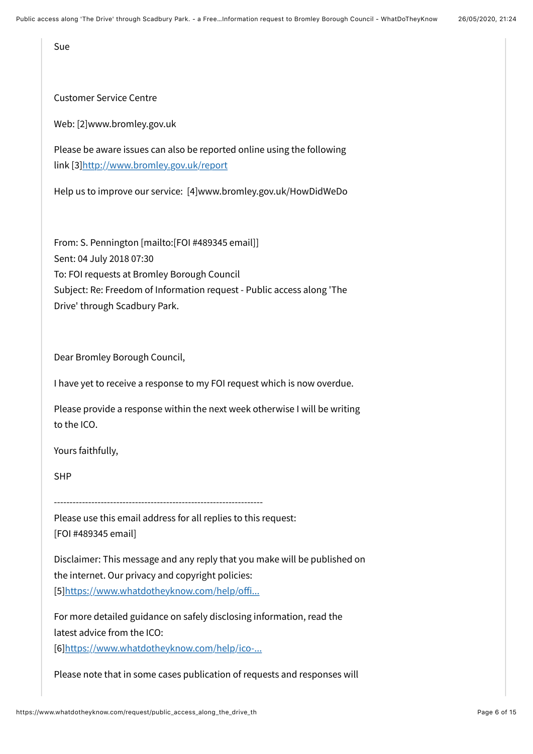Sue

Customer Service Centre

Web: [2]www.bromley.gov.uk

Please be aware issues can also be reported online using the following link [3[\]http://www.bromley.gov.uk/report](http://www.bromley.gov.uk/report)

Help us to improve our service: [4]www.bromley.gov.uk/HowDidWeDo

From: S. Pennington [mailto:[FOI #489345 email]] Sent: 04 July 2018 07:30 To: FOI requests at Bromley Borough Council Subject: Re: Freedom of Information request - Public access along 'The Drive' through Scadbury Park.

Dear Bromley Borough Council,

I have yet to receive a response to my FOI request which is now overdue.

Please provide a response within the next week otherwise I will be writing to the ICO.

Yours faithfully,

SHP

Please use this email address for all replies to this request: [FOI #489345 email]

Disclaimer: This message and any reply that you make will be published on the internet. Our privacy and copyright policies: [5][https://www.whatdotheyknow.com/help/o](https://www.whatdotheyknow.com/help/officers)ffi...

For more detailed guidance on safely disclosing information, read the latest advice from the ICO:

[6][https://www.whatdotheyknow.com/help/ico-...](https://www.whatdotheyknow.com/help/ico-guidance-for-authorities)

Please note that in some cases publication of requests and responses will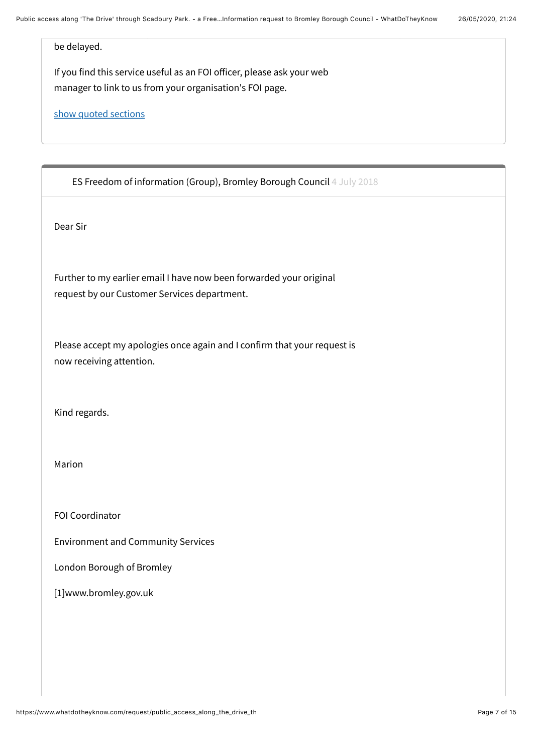be delayed.

If you find this service useful as an FOI officer, please ask your web manager to link to us from your organisation's FOI page.

[show quoted sections](https://www.whatdotheyknow.com/request/public_access_along_the_drive_th?unfold=1#incoming-1183500)

<span id="page-6-0"></span>ES Freedom of information (Group), Bromley Borough Council [4 July 2018](#page-6-0)

Dear Sir

Further to my earlier email I have now been forwarded your original request by our Customer Services department.

Please accept my apologies once again and I confirm that your request is now receiving attention.

Kind regards.

Marion

FOI Coordinator

Environment and Community Services

London Borough of Bromley

[1]www.bromley.gov.uk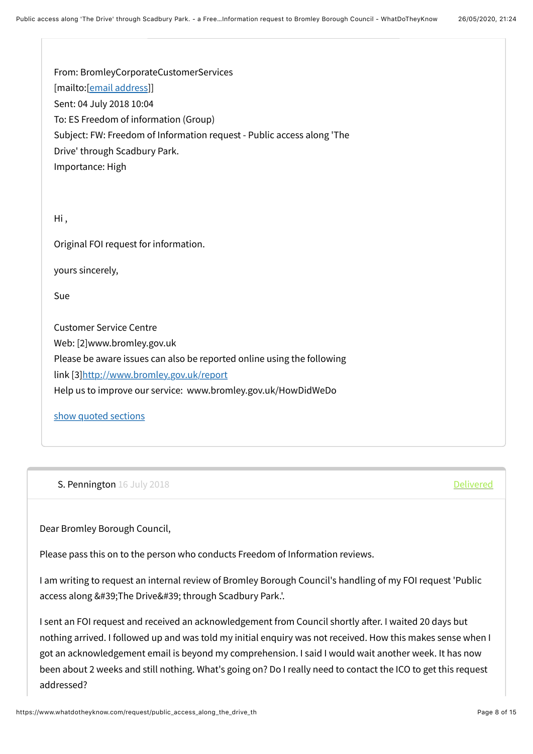From: BromleyCorporateCustomerServices [mailto:[\[email address](https://www.whatdotheyknow.com/help/officers#mobiles)]] Sent: 04 July 2018 10:04 To: ES Freedom of information (Group) Subject: FW: Freedom of Information request - Public access along 'The Drive' through Scadbury Park. Importance: High Hi , Original FOI request for information. yours sincerely, Sue

Customer Service Centre Web: [2]www.bromley.gov.uk Please be aware issues can also be reported online using the following link [3[\]http://www.bromley.gov.uk/report](http://www.bromley.gov.uk/report) Help us to improve our service: www.bromley.gov.uk/HowDidWeDo

## [show quoted sections](https://www.whatdotheyknow.com/request/public_access_along_the_drive_th?unfold=1#incoming-1183504)

<span id="page-7-0"></span>S. Pennington [16 July 2018](#page-7-0) **[Delivered](https://www.whatdotheyknow.com/outgoing_messages/786722/delivery_status)** 

Dear Bromley Borough Council,

Please pass this on to the person who conducts Freedom of Information reviews.

I am writing to request an internal review of Bromley Borough Council's handling of my FOI request 'Public access along ' The Drive' through Scadbury Park.'.

I sent an FOI request and received an acknowledgement from Council shortly after. I waited 20 days but nothing arrived. I followed up and was told my initial enquiry was not received. How this makes sense when I got an acknowledgement email is beyond my comprehension. I said I would wait another week. It has now been about 2 weeks and still nothing. What's going on? Do I really need to contact the ICO to get this request addressed?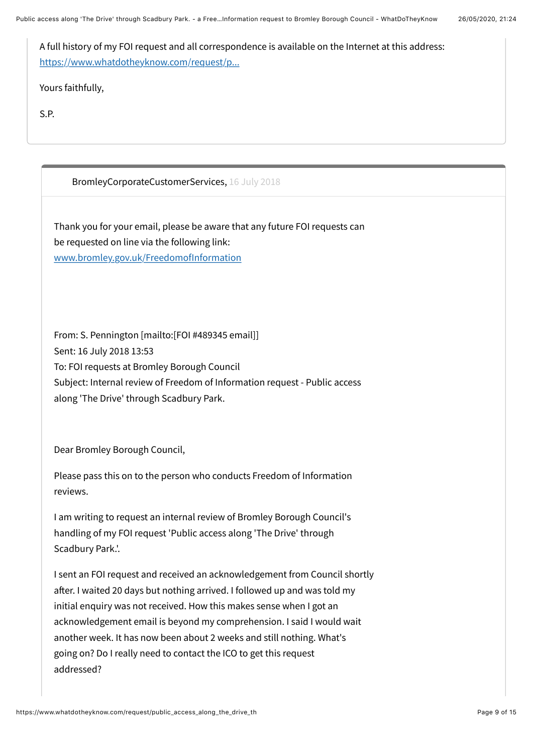A full history of my FOI request and all correspondence is available on the Internet at this address: [https://www.whatdotheyknow.com/request/p...](https://www.whatdotheyknow.com/request/public_access_along_the_drive_th)

Yours faithfully,

S.P.

<span id="page-8-0"></span>BromleyCorporateCustomerServices, [16 July 2018](#page-8-0)

Thank you for your email, please be aware that any future FOI requests can be requested on line via the following link: [www.bromley.gov.uk/FreedomofInformation](http://www.bromley.gov.uk/FreedomofInformation)

From: S. Pennington [mailto:[FOI #489345 email]] Sent: 16 July 2018 13:53 To: FOI requests at Bromley Borough Council Subject: Internal review of Freedom of Information request - Public access along 'The Drive' through Scadbury Park.

Dear Bromley Borough Council,

Please pass this on to the person who conducts Freedom of Information reviews.

I am writing to request an internal review of Bromley Borough Council's handling of my FOI request 'Public access along 'The Drive' through Scadbury Park.'.

I sent an FOI request and received an acknowledgement from Council shortly after. I waited 20 days but nothing arrived. I followed up and was told my initial enquiry was not received. How this makes sense when I got an acknowledgement email is beyond my comprehension. I said I would wait another week. It has now been about 2 weeks and still nothing. What's going on? Do I really need to contact the ICO to get this request addressed?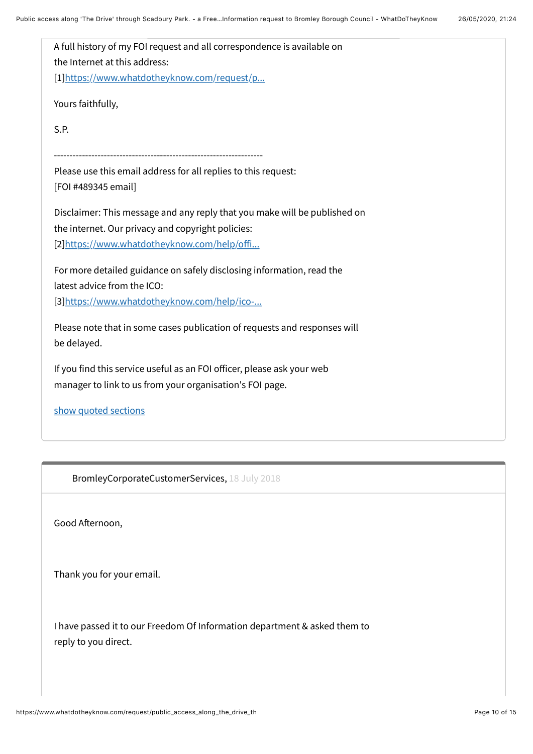A full history of my FOI request and all correspondence is available on the Internet at this address: [1][https://www.whatdotheyknow.com/request/p...](https://www.whatdotheyknow.com/request/public_access_along_the_drive_th) Yours faithfully, S.P. ------------------------------------------------------------------- Please use this email address for all replies to this request: [FOI #489345 email] Disclaimer: This message and any reply that you make will be published on the internet. Our privacy and copyright policies: [2][https://www.whatdotheyknow.com/help/o](https://www.whatdotheyknow.com/help/officers)ffi... For more detailed guidance on safely disclosing information, read the latest advice from the ICO: [3][https://www.whatdotheyknow.com/help/ico-...](https://www.whatdotheyknow.com/help/ico-guidance-for-authorities) Please note that in some cases publication of requests and responses will be delayed. If you find this service useful as an FOI officer, please ask your web manager to link to us from your organisation's FOI page. [show quoted sections](https://www.whatdotheyknow.com/request/public_access_along_the_drive_th?unfold=1#incoming-1188553)

<span id="page-9-0"></span>BromleyCorporateCustomerServices, [18 July 2018](#page-9-0)

Good Afternoon,

Thank you for your email.

I have passed it to our Freedom Of Information department & asked them to reply to you direct.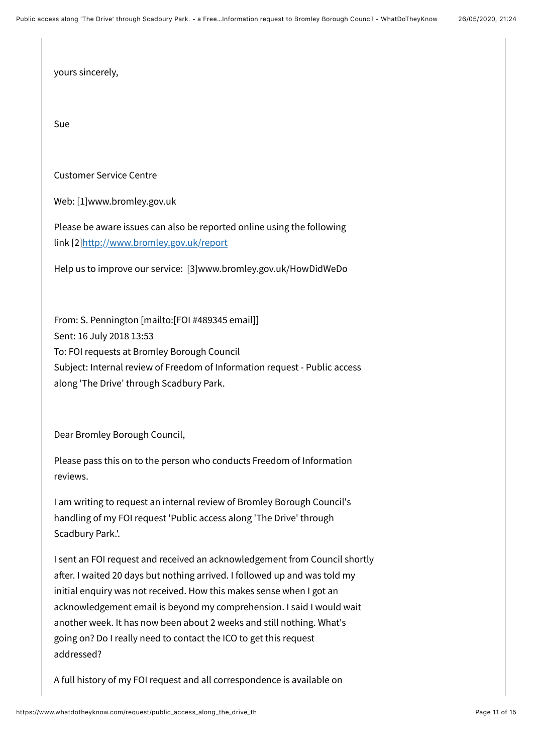yours sincerely,

Sue

Customer Service Centre

Web: [1]www.bromley.gov.uk

Please be aware issues can also be reported online using the following link [2[\]http://www.bromley.gov.uk/report](http://www.bromley.gov.uk/report)

Help us to improve our service: [3]www.bromley.gov.uk/HowDidWeDo

From: S. Pennington [mailto:[FOI #489345 email]] Sent: 16 July 2018 13:53 To: FOI requests at Bromley Borough Council Subject: Internal review of Freedom of Information request - Public access along 'The Drive' through Scadbury Park.

Dear Bromley Borough Council,

Please pass this on to the person who conducts Freedom of Information reviews.

I am writing to request an internal review of Bromley Borough Council's handling of my FOI request 'Public access along 'The Drive' through Scadbury Park.'.

I sent an FOI request and received an acknowledgement from Council shortly after. I waited 20 days but nothing arrived. I followed up and was told my initial enquiry was not received. How this makes sense when I got an acknowledgement email is beyond my comprehension. I said I would wait another week. It has now been about 2 weeks and still nothing. What's going on? Do I really need to contact the ICO to get this request addressed?

A full history of my FOI request and all correspondence is available on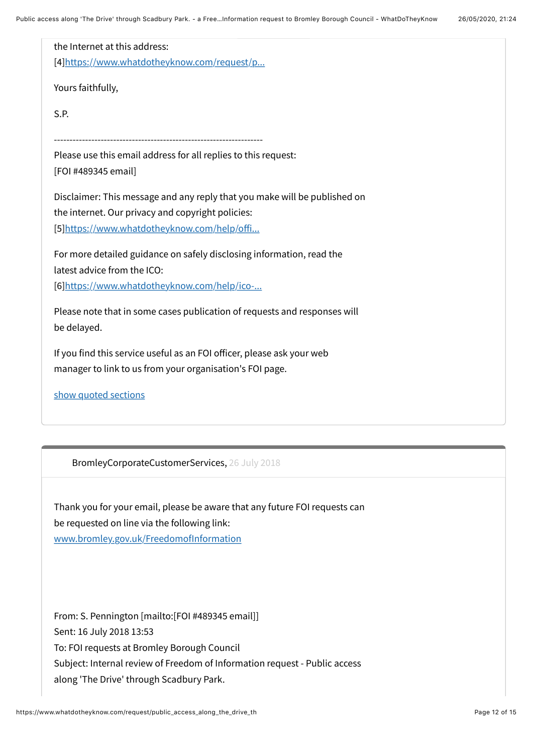| the Internet at this address:                                             |
|---------------------------------------------------------------------------|
| [4]https://www.whatdotheyknow.com/request/p                               |
| Yours faithfully,                                                         |
| S.P.                                                                      |
|                                                                           |
| Please use this email address for all replies to this request:            |
| [FOI #489345 email]                                                       |
| Disclaimer: This message and any reply that you make will be published on |
| the internet. Our privacy and copyright policies:                         |
| [5]https://www.whatdotheyknow.com/help/offi                               |
| For more detailed guidance on safely disclosing information, read the     |
| latest advice from the ICO:                                               |
| [6]https://www.whatdotheyknow.com/help/ico-                               |
| Please note that in some cases publication of requests and responses will |
| be delayed.                                                               |
| If you find this service useful as an FOI officer, please ask your web    |
| manager to link to us from your organisation's FOI page.                  |
| show quoted sections                                                      |

<span id="page-11-0"></span>BromleyCorporateCustomerServices, [26 July 2018](#page-11-0)

Thank you for your email, please be aware that any future FOI requests can be requested on line via the following link: [www.bromley.gov.uk/FreedomofInformation](http://www.bromley.gov.uk/FreedomofInformation)

From: S. Pennington [mailto:[FOI #489345 email]] Sent: 16 July 2018 13:53 To: FOI requests at Bromley Borough Council Subject: Internal review of Freedom of Information request - Public access along 'The Drive' through Scadbury Park.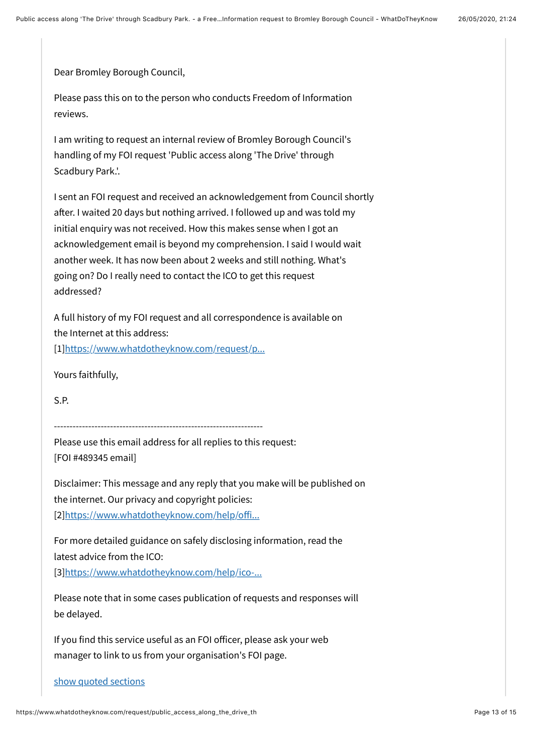Dear Bromley Borough Council,

Please pass this on to the person who conducts Freedom of Information reviews.

I am writing to request an internal review of Bromley Borough Council's handling of my FOI request 'Public access along 'The Drive' through Scadbury Park.'.

I sent an FOI request and received an acknowledgement from Council shortly after. I waited 20 days but nothing arrived. I followed up and was told my initial enquiry was not received. How this makes sense when I got an acknowledgement email is beyond my comprehension. I said I would wait another week. It has now been about 2 weeks and still nothing. What's going on? Do I really need to contact the ICO to get this request addressed?

A full history of my FOI request and all correspondence is available on the Internet at this address:

[1][https://www.whatdotheyknow.com/request/p...](https://www.whatdotheyknow.com/request/public_access_along_the_drive_th)

Yours faithfully,

S.P.

-------------------------------------------------------------------

Please use this email address for all replies to this request: [FOI #489345 email]

Disclaimer: This message and any reply that you make will be published on the internet. Our privacy and copyright policies: [2][https://www.whatdotheyknow.com/help/o](https://www.whatdotheyknow.com/help/officers)ffi...

For more detailed guidance on safely disclosing information, read the latest advice from the ICO:

[3][https://www.whatdotheyknow.com/help/ico-...](https://www.whatdotheyknow.com/help/ico-guidance-for-authorities)

Please note that in some cases publication of requests and responses will be delayed.

If you find this service useful as an FOI officer, please ask your web manager to link to us from your organisation's FOI page.

[show quoted sections](https://www.whatdotheyknow.com/request/public_access_along_the_drive_th?unfold=1#incoming-1195785)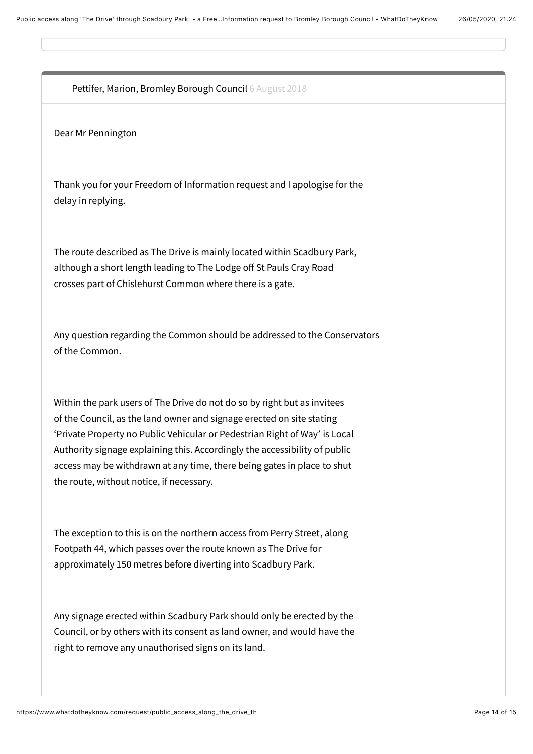<span id="page-13-0"></span>Pettifer, Marion, Bromley Borough Council [6 August 2018](#page-13-0)

Dear Mr Pennington

Thank you for your Freedom of Information request and I apologise for the delay in replying.

The route described as The Drive is mainly located within Scadbury Park, although a short length leading to The Lodge off St Pauls Cray Road crosses part of Chislehurst Common where there is a gate.

Any question regarding the Common should be addressed to the Conservators of the Common.

Within the park users of The Drive do not do so by right but as invitees of the Council, as the land owner and signage erected on site stating 'Private Property no Public Vehicular or Pedestrian Right of Way' is Local Authority signage explaining this. Accordingly the accessibility of public access may be withdrawn at any time, there being gates in place to shut the route, without notice, if necessary.

The exception to this is on the northern access from Perry Street, along Footpath 44, which passes over the route known as The Drive for approximately 150 metres before diverting into Scadbury Park.

Any signage erected within Scadbury Park should only be erected by the Council, or by others with its consent as land owner, and would have the right to remove any unauthorised signs on its land.